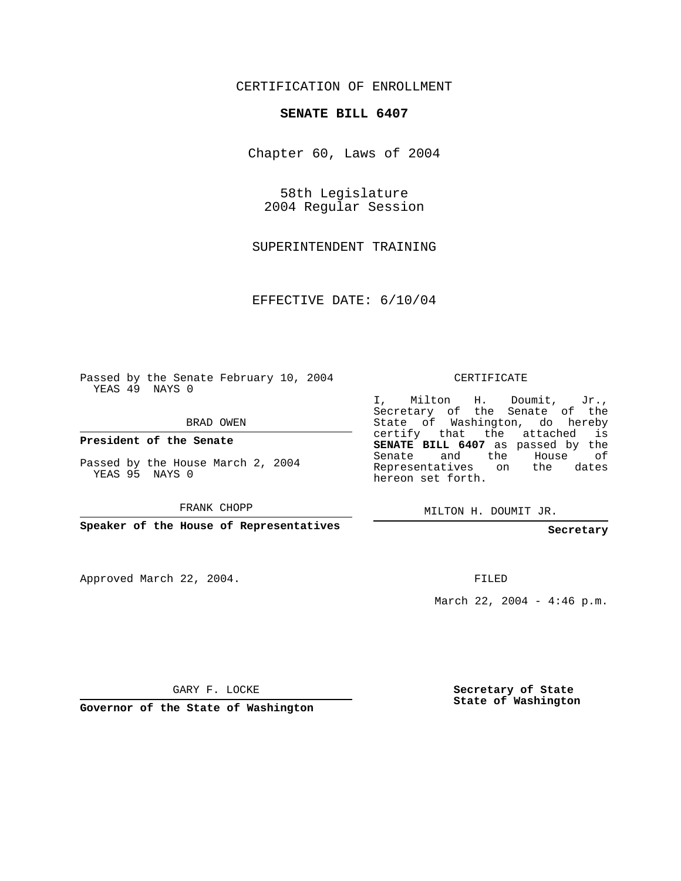## CERTIFICATION OF ENROLLMENT

## **SENATE BILL 6407**

Chapter 60, Laws of 2004

58th Legislature 2004 Regular Session

SUPERINTENDENT TRAINING

EFFECTIVE DATE: 6/10/04

Passed by the Senate February 10, 2004 YEAS 49 NAYS 0

BRAD OWEN

**President of the Senate**

Passed by the House March 2, 2004 YEAS 95 NAYS 0

FRANK CHOPP

**Speaker of the House of Representatives**

Approved March 22, 2004.

CERTIFICATE

I, Milton H. Doumit, Jr., Secretary of the Senate of the State of Washington, do hereby certify that the attached is **SENATE BILL 6407** as passed by the Senate and the House of Representatives on the dates hereon set forth.

MILTON H. DOUMIT JR.

**Secretary**

FILED

March 22, 2004 - 4:46 p.m.

GARY F. LOCKE

**Governor of the State of Washington**

**Secretary of State State of Washington**